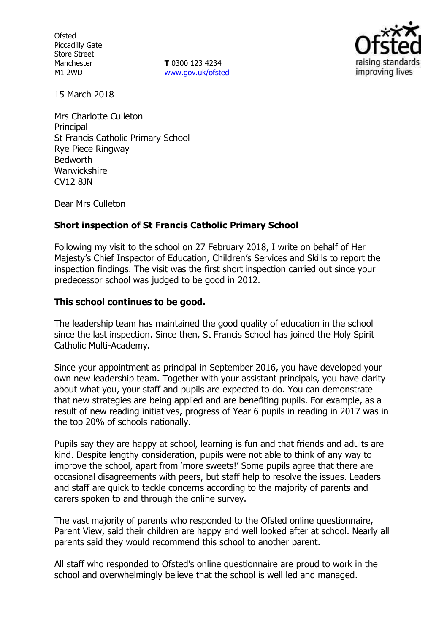**Ofsted** Piccadilly Gate Store Street Manchester M1 2WD

**T** 0300 123 4234 www.gov.uk/ofsted



15 March 2018

Mrs Charlotte Culleton **Principal** St Francis Catholic Primary School Rye Piece Ringway Bedworth **Warwickshire** CV12 8JN

Dear Mrs Culleton

### **Short inspection of St Francis Catholic Primary School**

Following my visit to the school on 27 February 2018, I write on behalf of Her Majesty's Chief Inspector of Education, Children's Services and Skills to report the inspection findings. The visit was the first short inspection carried out since your predecessor school was judged to be good in 2012.

#### **This school continues to be good.**

The leadership team has maintained the good quality of education in the school since the last inspection. Since then, St Francis School has joined the Holy Spirit Catholic Multi-Academy.

Since your appointment as principal in September 2016, you have developed your own new leadership team. Together with your assistant principals, you have clarity about what you, your staff and pupils are expected to do. You can demonstrate that new strategies are being applied and are benefiting pupils. For example, as a result of new reading initiatives, progress of Year 6 pupils in reading in 2017 was in the top 20% of schools nationally.

Pupils say they are happy at school, learning is fun and that friends and adults are kind. Despite lengthy consideration, pupils were not able to think of any way to improve the school, apart from 'more sweets!' Some pupils agree that there are occasional disagreements with peers, but staff help to resolve the issues. Leaders and staff are quick to tackle concerns according to the majority of parents and carers spoken to and through the online survey.

The vast majority of parents who responded to the Ofsted online questionnaire, Parent View, said their children are happy and well looked after at school. Nearly all parents said they would recommend this school to another parent.

All staff who responded to Ofsted's online questionnaire are proud to work in the school and overwhelmingly believe that the school is well led and managed.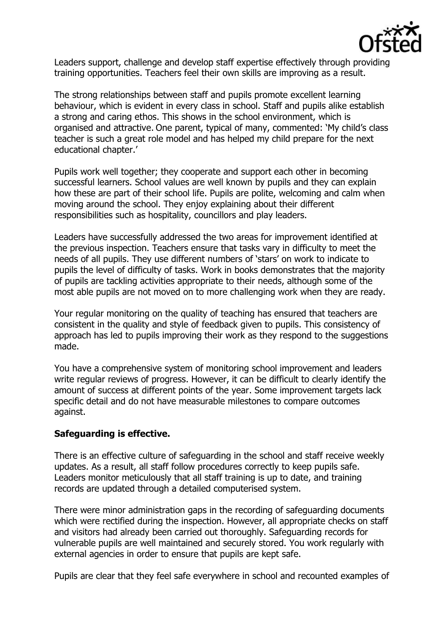

Leaders support, challenge and develop staff expertise effectively through providing training opportunities. Teachers feel their own skills are improving as a result.

The strong relationships between staff and pupils promote excellent learning behaviour, which is evident in every class in school. Staff and pupils alike establish a strong and caring ethos. This shows in the school environment, which is organised and attractive. One parent, typical of many, commented: 'My child's class teacher is such a great role model and has helped my child prepare for the next educational chapter.'

Pupils work well together; they cooperate and support each other in becoming successful learners. School values are well known by pupils and they can explain how these are part of their school life. Pupils are polite, welcoming and calm when moving around the school. They enjoy explaining about their different responsibilities such as hospitality, councillors and play leaders.

Leaders have successfully addressed the two areas for improvement identified at the previous inspection. Teachers ensure that tasks vary in difficulty to meet the needs of all pupils. They use different numbers of 'stars' on work to indicate to pupils the level of difficulty of tasks. Work in books demonstrates that the majority of pupils are tackling activities appropriate to their needs, although some of the most able pupils are not moved on to more challenging work when they are ready.

Your regular monitoring on the quality of teaching has ensured that teachers are consistent in the quality and style of feedback given to pupils. This consistency of approach has led to pupils improving their work as they respond to the suggestions made.

You have a comprehensive system of monitoring school improvement and leaders write regular reviews of progress. However, it can be difficult to clearly identify the amount of success at different points of the year. Some improvement targets lack specific detail and do not have measurable milestones to compare outcomes against.

# **Safeguarding is effective.**

There is an effective culture of safeguarding in the school and staff receive weekly updates. As a result, all staff follow procedures correctly to keep pupils safe. Leaders monitor meticulously that all staff training is up to date, and training records are updated through a detailed computerised system.

There were minor administration gaps in the recording of safeguarding documents which were rectified during the inspection. However, all appropriate checks on staff and visitors had already been carried out thoroughly. Safeguarding records for vulnerable pupils are well maintained and securely stored. You work regularly with external agencies in order to ensure that pupils are kept safe.

Pupils are clear that they feel safe everywhere in school and recounted examples of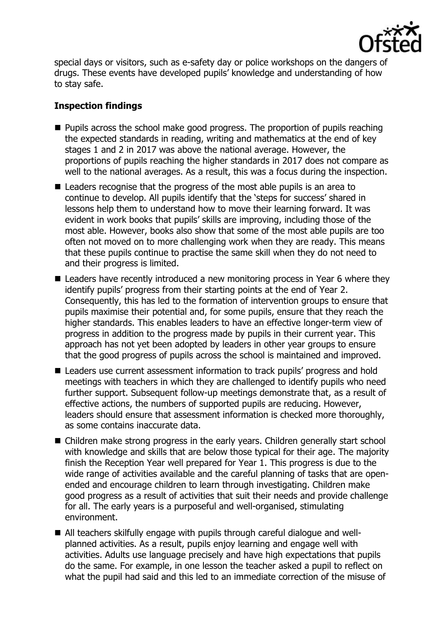

special days or visitors, such as e-safety day or police workshops on the dangers of drugs. These events have developed pupils' knowledge and understanding of how to stay safe.

## **Inspection findings**

- $\blacksquare$  Pupils across the school make good progress. The proportion of pupils reaching the expected standards in reading, writing and mathematics at the end of key stages 1 and 2 in 2017 was above the national average. However, the proportions of pupils reaching the higher standards in 2017 does not compare as well to the national averages. As a result, this was a focus during the inspection.
- Leaders recognise that the progress of the most able pupils is an area to continue to develop. All pupils identify that the 'steps for success' shared in lessons help them to understand how to move their learning forward. It was evident in work books that pupils' skills are improving, including those of the most able. However, books also show that some of the most able pupils are too often not moved on to more challenging work when they are ready. This means that these pupils continue to practise the same skill when they do not need to and their progress is limited.
- Leaders have recently introduced a new monitoring process in Year 6 where they identify pupils' progress from their starting points at the end of Year 2. Consequently, this has led to the formation of intervention groups to ensure that pupils maximise their potential and, for some pupils, ensure that they reach the higher standards. This enables leaders to have an effective longer-term view of progress in addition to the progress made by pupils in their current year. This approach has not yet been adopted by leaders in other year groups to ensure that the good progress of pupils across the school is maintained and improved.
- Leaders use current assessment information to track pupils' progress and hold meetings with teachers in which they are challenged to identify pupils who need further support. Subsequent follow-up meetings demonstrate that, as a result of effective actions, the numbers of supported pupils are reducing. However, leaders should ensure that assessment information is checked more thoroughly, as some contains inaccurate data.
- Children make strong progress in the early years. Children generally start school with knowledge and skills that are below those typical for their age. The majority finish the Reception Year well prepared for Year 1. This progress is due to the wide range of activities available and the careful planning of tasks that are openended and encourage children to learn through investigating. Children make good progress as a result of activities that suit their needs and provide challenge for all. The early years is a purposeful and well-organised, stimulating environment.
- All teachers skilfully engage with pupils through careful dialogue and wellplanned activities. As a result, pupils enjoy learning and engage well with activities. Adults use language precisely and have high expectations that pupils do the same. For example, in one lesson the teacher asked a pupil to reflect on what the pupil had said and this led to an immediate correction of the misuse of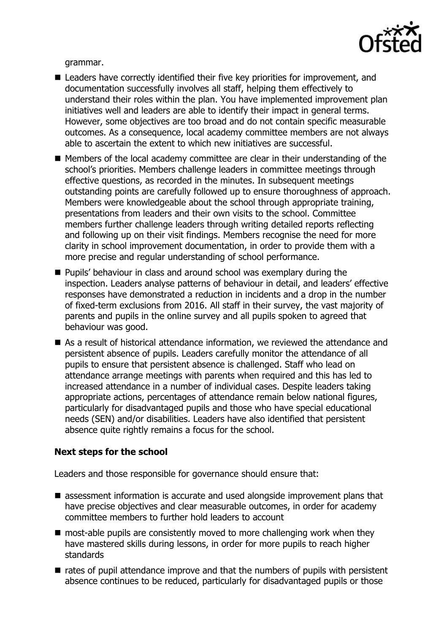

grammar.

- Leaders have correctly identified their five key priorities for improvement, and documentation successfully involves all staff, helping them effectively to understand their roles within the plan. You have implemented improvement plan initiatives well and leaders are able to identify their impact in general terms. However, some objectives are too broad and do not contain specific measurable outcomes. As a consequence, local academy committee members are not always able to ascertain the extent to which new initiatives are successful.
- Members of the local academy committee are clear in their understanding of the school's priorities. Members challenge leaders in committee meetings through effective questions, as recorded in the minutes. In subsequent meetings outstanding points are carefully followed up to ensure thoroughness of approach. Members were knowledgeable about the school through appropriate training, presentations from leaders and their own visits to the school. Committee members further challenge leaders through writing detailed reports reflecting and following up on their visit findings. Members recognise the need for more clarity in school improvement documentation, in order to provide them with a more precise and regular understanding of school performance.
- **Pupils' behaviour in class and around school was exemplary during the** inspection. Leaders analyse patterns of behaviour in detail, and leaders' effective responses have demonstrated a reduction in incidents and a drop in the number of fixed-term exclusions from 2016. All staff in their survey, the vast majority of parents and pupils in the online survey and all pupils spoken to agreed that behaviour was good.
- As a result of historical attendance information, we reviewed the attendance and persistent absence of pupils. Leaders carefully monitor the attendance of all pupils to ensure that persistent absence is challenged. Staff who lead on attendance arrange meetings with parents when required and this has led to increased attendance in a number of individual cases. Despite leaders taking appropriate actions, percentages of attendance remain below national figures, particularly for disadvantaged pupils and those who have special educational needs (SEN) and/or disabilities. Leaders have also identified that persistent absence quite rightly remains a focus for the school.

### **Next steps for the school**

Leaders and those responsible for governance should ensure that:

- assessment information is accurate and used alongside improvement plans that have precise objectives and clear measurable outcomes, in order for academy committee members to further hold leaders to account
- $\blacksquare$  most-able pupils are consistently moved to more challenging work when they have mastered skills during lessons, in order for more pupils to reach higher standards
- $\blacksquare$  rates of pupil attendance improve and that the numbers of pupils with persistent absence continues to be reduced, particularly for disadvantaged pupils or those